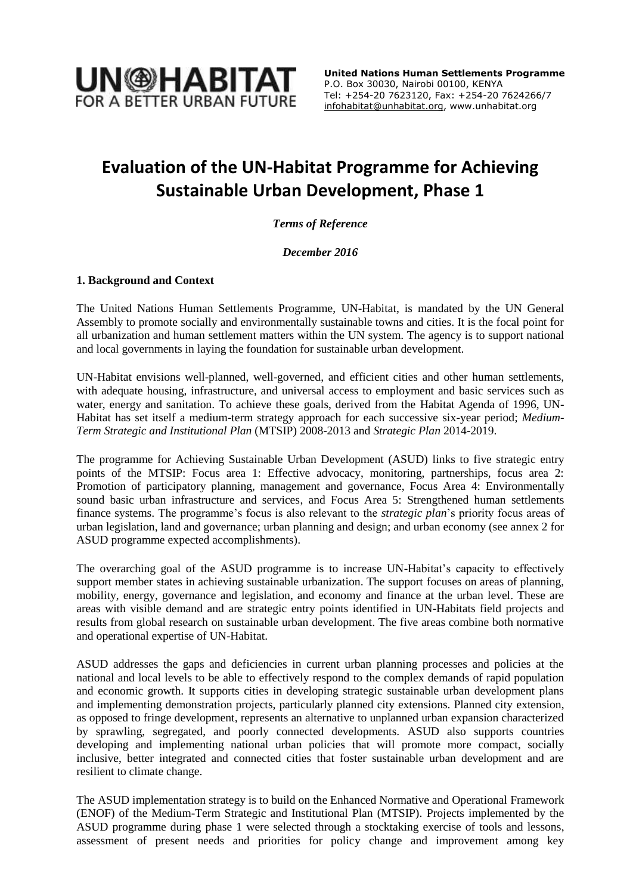

### **Evaluation of the UN-Habitat Programme for Achieving Sustainable Urban Development, Phase 1**

*Terms of Reference*

*December 2016*

#### **1. Background and Context**

The United Nations Human Settlements Programme, UN-Habitat, is mandated by the UN General Assembly to promote socially and environmentally sustainable towns and cities. It is the focal point for all urbanization and human settlement matters within the UN system. The agency is to support national and local governments in laying the foundation for sustainable urban development.

UN-Habitat envisions well-planned, well-governed, and efficient cities and other human settlements, with adequate housing, infrastructure, and universal access to employment and basic services such as water, energy and sanitation. To achieve these goals, derived from the [Habitat Agenda](http://unhabitat.org/about-us-4/history-mandate-role-in-the-un-system/) of 1996, UN-Habitat has set itself a medium-term strategy approach for each successive six-year period; *Medium-Term Strategic and Institutional Plan* (MTSIP) 2008-2013 and *Strategic Plan* 2014-2019.

The programme for Achieving Sustainable Urban Development (ASUD) links to five strategic entry points of the MTSIP: Focus area 1: Effective advocacy, monitoring, partnerships, focus area 2: Promotion of participatory planning, management and governance, Focus Area 4: Environmentally sound basic urban infrastructure and services, and Focus Area 5: Strengthened human settlements finance systems. The programme's focus is also relevant to the *strategic plan*'s priority focus areas of urban legislation, land and governance; urban planning and design; and urban economy (see annex 2 for ASUD programme expected accomplishments).

The overarching goal of the ASUD programme is to increase UN-Habitat's capacity to effectively support member states in achieving sustainable urbanization. The support focuses on areas of planning, mobility, energy, governance and legislation, and economy and finance at the urban level. These are areas with visible demand and are strategic entry points identified in UN-Habitats field projects and results from global research on sustainable urban development. The five areas combine both normative and operational expertise of UN-Habitat.

ASUD addresses the gaps and deficiencies in current urban planning processes and policies at the national and local levels to be able to effectively respond to the complex demands of rapid population and economic growth. It supports cities in developing strategic sustainable urban development plans and implementing demonstration projects, particularly planned city extensions. Planned city extension, as opposed to fringe development, represents an alternative to unplanned urban expansion characterized by sprawling, segregated, and poorly connected developments. ASUD also supports countries developing and implementing national urban policies that will promote more compact, socially inclusive, better integrated and connected cities that foster sustainable urban development and are resilient to climate change.

The ASUD implementation strategy is to build on the Enhanced Normative and Operational Framework (ENOF) of the Medium-Term Strategic and Institutional Plan (MTSIP). Projects implemented by the ASUD programme during phase 1 were selected through a stocktaking exercise of tools and lessons, assessment of present needs and priorities for policy change and improvement among key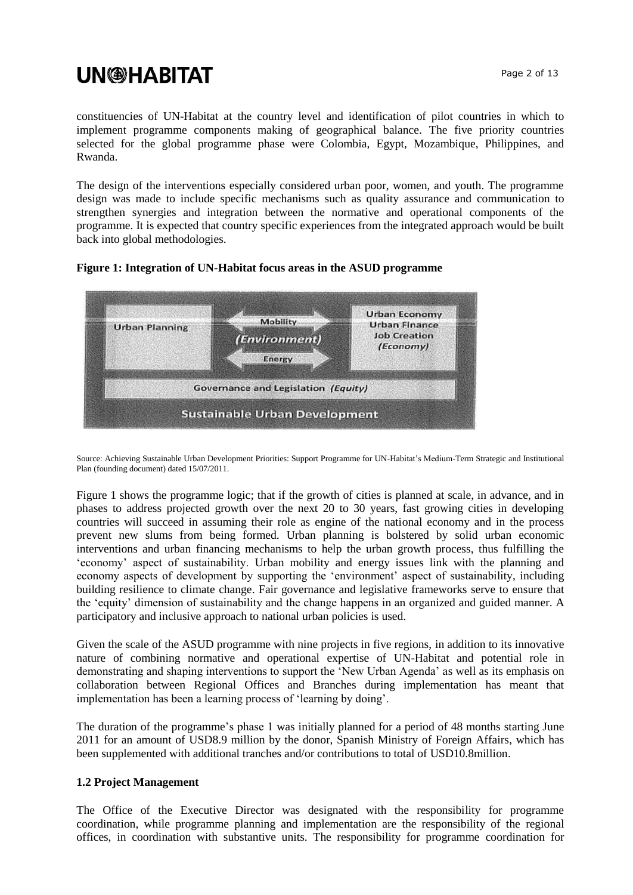constituencies of UN-Habitat at the country level and identification of pilot countries in which to implement programme components making of geographical balance. The five priority countries selected for the global programme phase were Colombia, Egypt, Mozambique, Philippines, and Rwanda.

The design of the interventions especially considered urban poor, women, and youth. The programme design was made to include specific mechanisms such as quality assurance and communication to strengthen synergies and integration between the normative and operational components of the programme. It is expected that country specific experiences from the integrated approach would be built back into global methodologies.



**Figure 1: Integration of UN-Habitat focus areas in the ASUD programme** 

Source: Achieving Sustainable Urban Development Priorities: Support Programme for UN-Habitat's Medium-Term Strategic and Institutional Plan (founding document) dated 15/07/2011.

Figure 1 shows the programme logic; that if the growth of cities is planned at scale, in advance, and in phases to address projected growth over the next 20 to 30 years, fast growing cities in developing countries will succeed in assuming their role as engine of the national economy and in the process prevent new slums from being formed. Urban planning is bolstered by solid urban economic interventions and urban financing mechanisms to help the urban growth process, thus fulfilling the 'economy' aspect of sustainability. Urban mobility and energy issues link with the planning and economy aspects of development by supporting the 'environment' aspect of sustainability, including building resilience to climate change. Fair governance and legislative frameworks serve to ensure that the 'equity' dimension of sustainability and the change happens in an organized and guided manner. A participatory and inclusive approach to national urban policies is used.

Given the scale of the ASUD programme with nine projects in five regions, in addition to its innovative nature of combining normative and operational expertise of UN-Habitat and potential role in demonstrating and shaping interventions to support the 'New Urban Agenda' as well as its emphasis on collaboration between Regional Offices and Branches during implementation has meant that implementation has been a learning process of 'learning by doing'.

The duration of the programme's phase 1 was initially planned for a period of 48 months starting June 2011 for an amount of USD8.9 million by the donor, Spanish Ministry of Foreign Affairs, which has been supplemented with additional tranches and/or contributions to total of USD10.8million.

#### **1.2 Project Management**

The Office of the Executive Director was designated with the responsibility for programme coordination, while programme planning and implementation are the responsibility of the regional offices, in coordination with substantive units. The responsibility for programme coordination for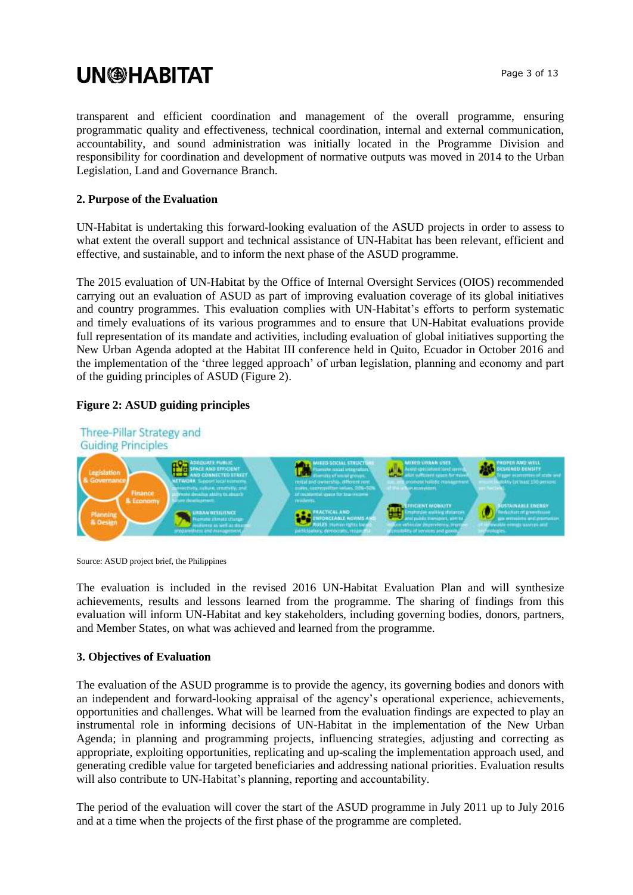transparent and efficient coordination and management of the overall programme, ensuring programmatic quality and effectiveness, technical coordination, internal and external communication, accountability, and sound administration was initially located in the Programme Division and responsibility for coordination and development of normative outputs was moved in 2014 to the Urban Legislation, Land and Governance Branch.

#### **2. Purpose of the Evaluation**

UN-Habitat is undertaking this forward-looking evaluation of the ASUD projects in order to assess to what extent the overall support and technical assistance of UN-Habitat has been relevant, efficient and effective, and sustainable, and to inform the next phase of the ASUD programme.

The 2015 evaluation of UN-Habitat by the Office of Internal Oversight Services (OIOS) recommended carrying out an evaluation of ASUD as part of improving evaluation coverage of its global initiatives and country programmes. This evaluation complies with UN-Habitat's efforts to perform systematic and timely evaluations of its various programmes and to ensure that UN-Habitat evaluations provide full representation of its mandate and activities, including evaluation of global initiatives supporting the New Urban Agenda adopted at the Habitat III conference held in Quito, Ecuador in October 2016 and the implementation of the 'three legged approach' of urban legislation, planning and economy and part of the guiding principles of ASUD (Figure 2).

#### **Figure 2: ASUD guiding principles**



Source: ASUD project brief, the Philippines

The evaluation is included in the revised 2016 UN-Habitat Evaluation Plan and will synthesize achievements, results and lessons learned from the programme. The sharing of findings from this evaluation will inform UN-Habitat and key stakeholders, including governing bodies, donors, partners, and Member States, on what was achieved and learned from the programme.

#### **3. Objectives of Evaluation**

The evaluation of the ASUD programme is to provide the agency, its governing bodies and donors with an independent and forward-looking appraisal of the agency's operational experience, achievements, opportunities and challenges. What will be learned from the evaluation findings are expected to play an instrumental role in informing decisions of UN-Habitat in the implementation of the New Urban Agenda; in planning and programming projects, influencing strategies, adjusting and correcting as appropriate, exploiting opportunities, replicating and up-scaling the implementation approach used, and generating credible value for targeted beneficiaries and addressing national priorities. Evaluation results will also contribute to UN-Habitat's planning, reporting and accountability.

The period of the evaluation will cover the start of the ASUD programme in July 2011 up to July 2016 and at a time when the projects of the first phase of the programme are completed.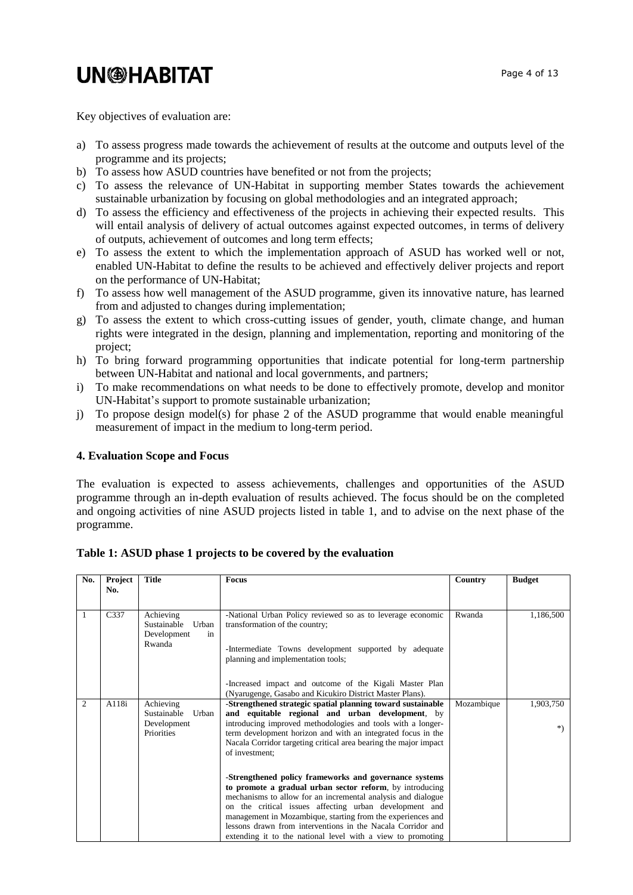Key objectives of evaluation are:

- a) To assess progress made towards the achievement of results at the outcome and outputs level of the programme and its projects;
- b) To assess how ASUD countries have benefited or not from the projects;
- c) To assess the relevance of UN-Habitat in supporting member States towards the achievement sustainable urbanization by focusing on global methodologies and an integrated approach;
- d) To assess the efficiency and effectiveness of the projects in achieving their expected results. This will entail analysis of delivery of actual outcomes against expected outcomes, in terms of delivery of outputs, achievement of outcomes and long term effects;
- e) To assess the extent to which the implementation approach of ASUD has worked well or not, enabled UN-Habitat to define the results to be achieved and effectively deliver projects and report on the performance of UN-Habitat;
- f) To assess how well management of the ASUD programme, given its innovative nature, has learned from and adjusted to changes during implementation;
- g) To assess the extent to which cross-cutting issues of gender, youth, climate change, and human rights were integrated in the design, planning and implementation, reporting and monitoring of the project;
- h) To bring forward programming opportunities that indicate potential for long-term partnership between UN-Habitat and national and local governments, and partners;
- i) To make recommendations on what needs to be done to effectively promote, develop and monitor UN-Habitat's support to promote sustainable urbanization;
- j) To propose design model(s) for phase 2 of the ASUD programme that would enable meaningful measurement of impact in the medium to long-term period.

#### **4. Evaluation Scope and Focus**

The evaluation is expected to assess achievements, challenges and opportunities of the ASUD programme through an in-depth evaluation of results achieved. The focus should be on the completed and ongoing activities of nine ASUD projects listed in table 1, and to advise on the next phase of the programme.

|  | Table 1: ASUD phase 1 projects to be covered by the evaluation |  |
|--|----------------------------------------------------------------|--|
|--|----------------------------------------------------------------|--|

| No.            | Project<br>No. | <b>Title</b>                                                          | <b>Focus</b>                                                                                                                                                                                                                                                                                                                                                                                                                              | Country    | <b>Budget</b>    |
|----------------|----------------|-----------------------------------------------------------------------|-------------------------------------------------------------------------------------------------------------------------------------------------------------------------------------------------------------------------------------------------------------------------------------------------------------------------------------------------------------------------------------------------------------------------------------------|------------|------------------|
|                | C337           | Achieving<br>Urban<br>Sustainable<br>Development<br>in<br>Rwanda      | -National Urban Policy reviewed so as to leverage economic<br>transformation of the country;<br>-Intermediate Towns development supported by adequate<br>planning and implementation tools;<br>-Increased impact and outcome of the Kigali Master Plan<br>(Nyarugenge, Gasabo and Kicukiro District Master Plans).                                                                                                                        | Rwanda     | 1,186,500        |
| $\overline{c}$ | A118i          | Achieving<br>Sustainable<br>Urban<br>Development<br><b>Priorities</b> | -Strengthened strategic spatial planning toward sustainable<br>and equitable regional and urban development, by<br>introducing improved methodologies and tools with a longer-<br>term development horizon and with an integrated focus in the<br>Nacala Corridor targeting critical area bearing the major impact<br>of investment;                                                                                                      | Mozambique | 1,903,750<br>$*$ |
|                |                |                                                                       | -Strengthened policy frameworks and governance systems<br>to promote a gradual urban sector reform, by introducing<br>mechanisms to allow for an incremental analysis and dialogue<br>on the critical issues affecting urban development and<br>management in Mozambique, starting from the experiences and<br>lessons drawn from interventions in the Nacala Corridor and<br>extending it to the national level with a view to promoting |            |                  |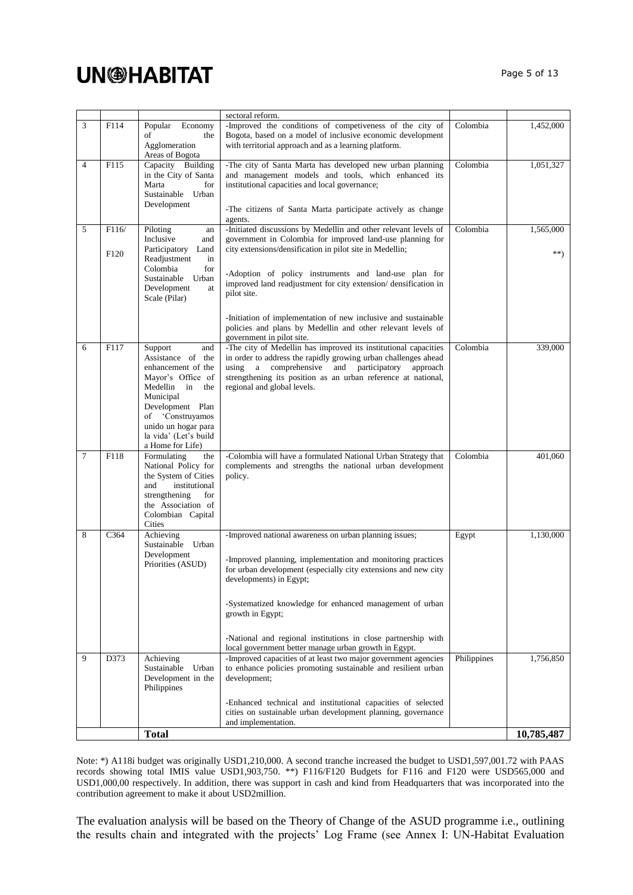|                |                   |                                                                                                                                                                                                                                     | sectoral reform.                                                                                                                                                                                                                                                                                                                                                                                                             |             |                  |
|----------------|-------------------|-------------------------------------------------------------------------------------------------------------------------------------------------------------------------------------------------------------------------------------|------------------------------------------------------------------------------------------------------------------------------------------------------------------------------------------------------------------------------------------------------------------------------------------------------------------------------------------------------------------------------------------------------------------------------|-------------|------------------|
| 3              | F114              | Popular<br>Economy<br>of<br>the<br>Agglomeration                                                                                                                                                                                    | -Improved the conditions of competiveness of the city of<br>Bogota, based on a model of inclusive economic development<br>with territorial approach and as a learning platform.                                                                                                                                                                                                                                              | Colombia    | 1,452,000        |
| $\overline{4}$ | F115              | Areas of Bogota<br>Capacity Building<br>in the City of Santa<br>Marta<br>for<br>Sustainable Urban<br>Development                                                                                                                    | -The city of Santa Marta has developed new urban planning<br>and management models and tools, which enhanced its<br>institutional capacities and local governance;<br>-The citizens of Santa Marta participate actively as change<br>agents.                                                                                                                                                                                 | Colombia    | 1,051,327        |
| 5              | F116/<br>F120     | Piloting<br>an<br>Inclusive<br>and<br>Participatory<br>Land<br>Readjustment<br>in<br>Colombia<br>for<br>Sustainable<br>Urban<br>Development<br>at<br>Scale (Pilar)                                                                  | -Initiated discussions by Medellin and other relevant levels of<br>government in Colombia for improved land-use planning for<br>city extensions/densification in pilot site in Medellin;<br>-Adoption of policy instruments and land-use plan for<br>improved land readjustment for city extension/densification in<br>pilot site.                                                                                           | Colombia    | 1,565,000<br>**) |
|                |                   |                                                                                                                                                                                                                                     | -Initiation of implementation of new inclusive and sustainable<br>policies and plans by Medellin and other relevant levels of<br>government in pilot site.                                                                                                                                                                                                                                                                   |             |                  |
| 6              | F117              | Support<br>and<br>Assistance of the<br>enhancement of the<br>Mayor's Office of<br>Medellin<br>in<br>the<br>Municipal<br>Development Plan<br>'Construyamos<br>of<br>unido un hogar para<br>la vida' (Let's build<br>a Home for Life) | -The city of Medellin has improved its institutional capacities<br>in order to address the rapidly growing urban challenges ahead<br>and participatory<br>using<br>a comprehensive<br>approach<br>strengthening its position as an urban reference at national,<br>regional and global levels.                                                                                                                               | Colombia    | 339,000          |
| 7              | $\overline{F}118$ | Formulating<br>the<br>National Policy for<br>the System of Cities<br>and<br>institutional<br>strengthening<br>for<br>the Association of<br>Colombian Capital<br>Cities                                                              | -Colombia will have a formulated National Urban Strategy that<br>complements and strengths the national urban development<br>policy.                                                                                                                                                                                                                                                                                         | Colombia    | 401,060          |
| 8              | C364              | Achieving<br>Sustainable Urban<br>Development<br>Priorities (ASUD)                                                                                                                                                                  | -Improved national awareness on urban planning issues;<br>-Improved planning, implementation and monitoring practices<br>for urban development (especially city extensions and new city<br>developments) in Egypt;<br>-Systematized knowledge for enhanced management of urban<br>growth in Egypt;<br>-National and regional institutions in close partnership with<br>local government better manage urban growth in Egypt. | Egypt       | 1,130,000        |
| 9              | D373              | Achieving<br>Sustainable<br>Urban<br>Development in the<br>Philippines                                                                                                                                                              | -Improved capacities of at least two major government agencies<br>to enhance policies promoting sustainable and resilient urban<br>development;                                                                                                                                                                                                                                                                              | Philippines | 1,756,850        |
|                |                   |                                                                                                                                                                                                                                     | -Enhanced technical and institutional capacities of selected<br>cities on sustainable urban development planning, governance<br>and implementation.                                                                                                                                                                                                                                                                          |             |                  |
|                |                   | <b>Total</b>                                                                                                                                                                                                                        |                                                                                                                                                                                                                                                                                                                                                                                                                              |             | 10,785,487       |

Note: \*) A118i budget was originally USD1,210,000. A second tranche increased the budget to USD1,597,001.72 with PAAS records showing total IMIS value USD1,903,750. \*\*) F116/F120 Budgets for F116 and F120 were USD565,000 and USD1,000,00 respectively. In addition, there was support in cash and kind from Headquarters that was incorporated into the contribution agreement to make it about USD2million.

The evaluation analysis will be based on the Theory of Change of the ASUD programme i.e., outlining the results chain and integrated with the projects' Log Frame (see Annex I: UN-Habitat Evaluation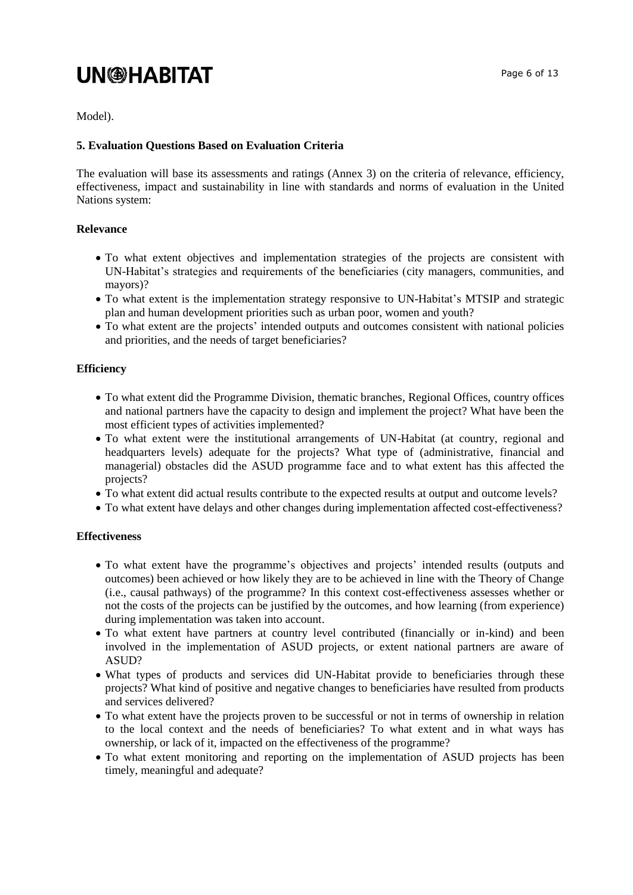Model).

#### **5. Evaluation Questions Based on Evaluation Criteria**

The evaluation will base its assessments and ratings (Annex 3) on the criteria of relevance, efficiency, effectiveness, impact and sustainability in line with standards and norms of evaluation in the United Nations system:

#### **Relevance**

- To what extent objectives and implementation strategies of the projects are consistent with UN-Habitat's strategies and requirements of the beneficiaries (city managers, communities, and mayors)?
- To what extent is the implementation strategy responsive to UN-Habitat's MTSIP and strategic plan and human development priorities such as urban poor, women and youth?
- To what extent are the projects' intended outputs and outcomes consistent with national policies and priorities, and the needs of target beneficiaries?

#### **Efficiency**

- To what extent did the Programme Division, thematic branches, Regional Offices, country offices and national partners have the capacity to design and implement the project? What have been the most efficient types of activities implemented?
- To what extent were the institutional arrangements of UN-Habitat (at country, regional and headquarters levels) adequate for the projects? What type of (administrative, financial and managerial) obstacles did the ASUD programme face and to what extent has this affected the projects?
- To what extent did actual results contribute to the expected results at output and outcome levels?
- To what extent have delays and other changes during implementation affected cost-effectiveness?

#### **Effectiveness**

- To what extent have the programme's objectives and projects' intended results (outputs and outcomes) been achieved or how likely they are to be achieved in line with the Theory of Change (i.e., causal pathways) of the programme? In this context cost-effectiveness assesses whether or not the costs of the projects can be justified by the outcomes, and how learning (from experience) during implementation was taken into account.
- To what extent have partners at country level contributed (financially or in-kind) and been involved in the implementation of ASUD projects, or extent national partners are aware of ASUD?
- What types of products and services did UN-Habitat provide to beneficiaries through these projects? What kind of positive and negative changes to beneficiaries have resulted from products and services delivered?
- To what extent have the projects proven to be successful or not in terms of ownership in relation to the local context and the needs of beneficiaries? To what extent and in what ways has ownership, or lack of it, impacted on the effectiveness of the programme?
- To what extent monitoring and reporting on the implementation of ASUD projects has been timely, meaningful and adequate?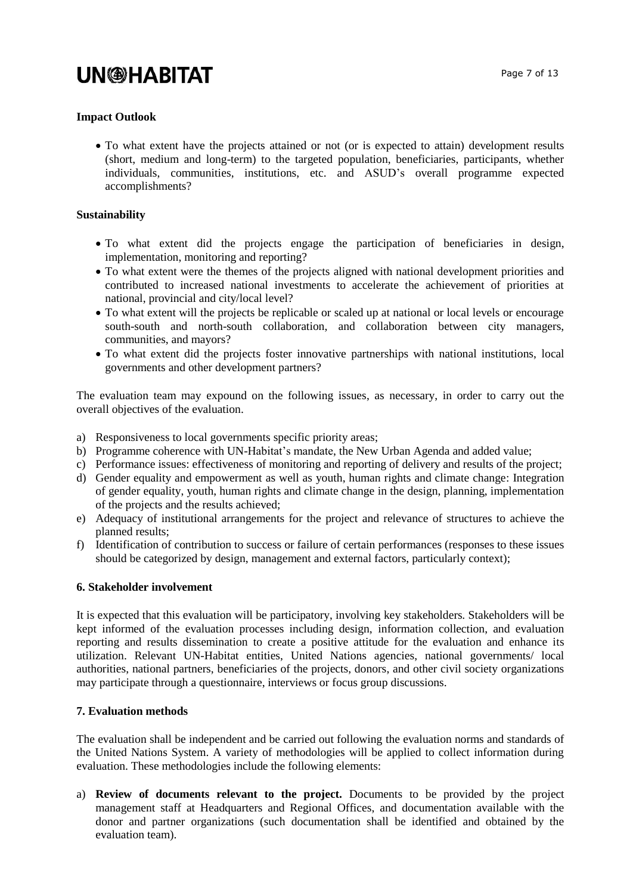#### **Impact Outlook**

• To what extent have the projects attained or not (or is expected to attain) development results (short, medium and long-term) to the targeted population, beneficiaries, participants, whether individuals, communities, institutions, etc. and ASUD's overall programme expected accomplishments?

#### **Sustainability**

- To what extent did the projects engage the participation of beneficiaries in design, implementation, monitoring and reporting?
- To what extent were the themes of the projects aligned with national development priorities and contributed to increased national investments to accelerate the achievement of priorities at national, provincial and city/local level?
- To what extent will the projects be replicable or scaled up at national or local levels or encourage south-south and north-south collaboration, and collaboration between city managers, communities, and mayors?
- To what extent did the projects foster innovative partnerships with national institutions, local governments and other development partners?

The evaluation team may expound on the following issues, as necessary, in order to carry out the overall objectives of the evaluation.

- a) Responsiveness to local governments specific priority areas;
- b) Programme coherence with UN-Habitat's mandate, the New Urban Agenda and added value;
- c) Performance issues: effectiveness of monitoring and reporting of delivery and results of the project;
- d) Gender equality and empowerment as well as youth, human rights and climate change: Integration of gender equality, youth, human rights and climate change in the design, planning, implementation of the projects and the results achieved;
- e) Adequacy of institutional arrangements for the project and relevance of structures to achieve the planned results;
- f) Identification of contribution to success or failure of certain performances (responses to these issues should be categorized by design, management and external factors, particularly context);

#### **6. Stakeholder involvement**

It is expected that this evaluation will be participatory, involving key stakeholders. Stakeholders will be kept informed of the evaluation processes including design, information collection, and evaluation reporting and results dissemination to create a positive attitude for the evaluation and enhance its utilization. Relevant UN-Habitat entities, United Nations agencies, national governments/ local authorities, national partners, beneficiaries of the projects, donors, and other civil society organizations may participate through a questionnaire, interviews or focus group discussions.

#### **7. Evaluation methods**

The evaluation shall be independent and be carried out following the evaluation norms and standards of the United Nations System. A variety of methodologies will be applied to collect information during evaluation. These methodologies include the following elements:

a) **Review of documents relevant to the project.** Documents to be provided by the project management staff at Headquarters and Regional Offices, and documentation available with the donor and partner organizations (such documentation shall be identified and obtained by the evaluation team).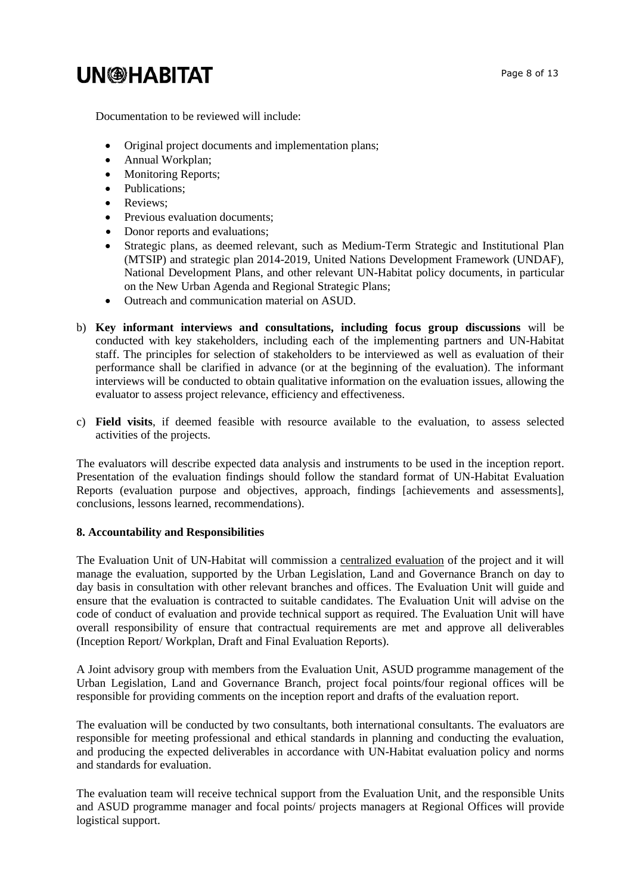Page 8 of 13

Documentation to be reviewed will include:

- Original project documents and implementation plans;
- Annual Workplan;
- Monitoring Reports;
- Publications;
- Reviews;
- Previous evaluation documents;
- Donor reports and evaluations;
- Strategic plans, as deemed relevant, such as Medium-Term Strategic and Institutional Plan (MTSIP) and strategic plan 2014-2019, United Nations Development Framework (UNDAF), National Development Plans, and other relevant UN-Habitat policy documents, in particular on the New Urban Agenda and Regional Strategic Plans;
- Outreach and communication material on ASUD.
- b) **Key informant interviews and consultations, including focus group discussions** will be conducted with key stakeholders, including each of the implementing partners and UN-Habitat staff. The principles for selection of stakeholders to be interviewed as well as evaluation of their performance shall be clarified in advance (or at the beginning of the evaluation). The informant interviews will be conducted to obtain qualitative information on the evaluation issues, allowing the evaluator to assess project relevance, efficiency and effectiveness.
- c) **Field visits**, if deemed feasible with resource available to the evaluation, to assess selected activities of the projects.

The evaluators will describe expected data analysis and instruments to be used in the inception report. Presentation of the evaluation findings should follow the standard format of UN-Habitat Evaluation Reports (evaluation purpose and objectives, approach, findings [achievements and assessments], conclusions, lessons learned, recommendations).

#### **8. Accountability and Responsibilities**

The Evaluation Unit of UN-Habitat will commission a centralized evaluation of the project and it will manage the evaluation, supported by the Urban Legislation, Land and Governance Branch on day to day basis in consultation with other relevant branches and offices. The Evaluation Unit will guide and ensure that the evaluation is contracted to suitable candidates. The Evaluation Unit will advise on the code of conduct of evaluation and provide technical support as required. The Evaluation Unit will have overall responsibility of ensure that contractual requirements are met and approve all deliverables (Inception Report/ Workplan, Draft and Final Evaluation Reports).

A Joint advisory group with members from the Evaluation Unit, ASUD programme management of the Urban Legislation, Land and Governance Branch, project focal points/four regional offices will be responsible for providing comments on the inception report and drafts of the evaluation report.

The evaluation will be conducted by two consultants, both international consultants. The evaluators are responsible for meeting professional and ethical standards in planning and conducting the evaluation, and producing the expected deliverables in accordance with UN-Habitat evaluation policy and norms and standards for evaluation.

The evaluation team will receive technical support from the Evaluation Unit, and the responsible Units and ASUD programme manager and focal points/ projects managers at Regional Offices will provide logistical support.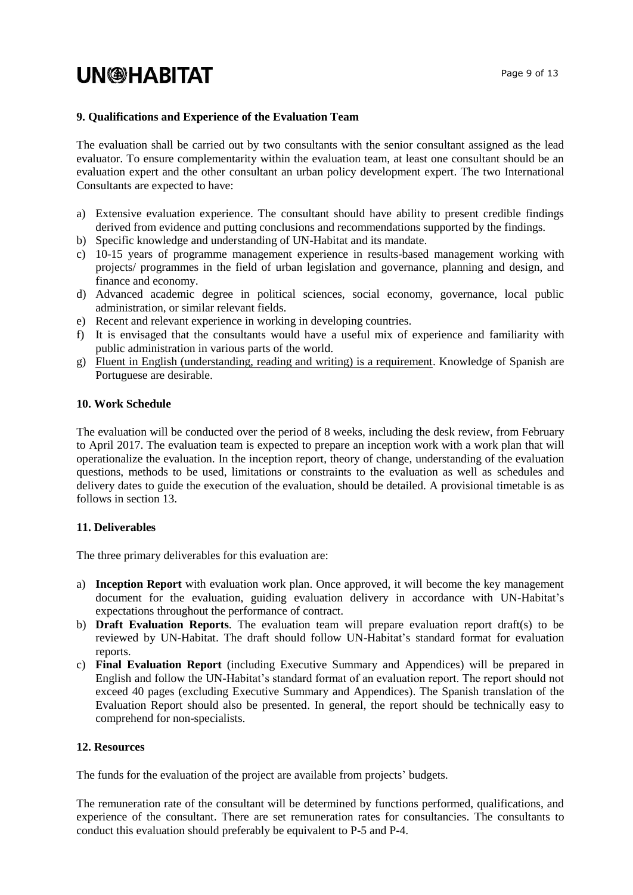#### **9. Qualifications and Experience of the Evaluation Team**

The evaluation shall be carried out by two consultants with the senior consultant assigned as the lead evaluator. To ensure complementarity within the evaluation team, at least one consultant should be an evaluation expert and the other consultant an urban policy development expert. The two International Consultants are expected to have:

- a) Extensive evaluation experience. The consultant should have ability to present credible findings derived from evidence and putting conclusions and recommendations supported by the findings.
- b) Specific knowledge and understanding of UN-Habitat and its mandate.
- c) 10-15 years of programme management experience in results-based management working with projects/ programmes in the field of urban legislation and governance, planning and design, and finance and economy.
- d) Advanced academic degree in political sciences, social economy, governance, local public administration, or similar relevant fields.
- e) Recent and relevant experience in working in developing countries.
- f) It is envisaged that the consultants would have a useful mix of experience and familiarity with public administration in various parts of the world.
- g) Fluent in English (understanding, reading and writing) is a requirement. Knowledge of Spanish are Portuguese are desirable.

#### **10. Work Schedule**

The evaluation will be conducted over the period of 8 weeks, including the desk review, from February to April 2017. The evaluation team is expected to prepare an inception work with a work plan that will operationalize the evaluation. In the inception report, theory of change, understanding of the evaluation questions, methods to be used, limitations or constraints to the evaluation as well as schedules and delivery dates to guide the execution of the evaluation, should be detailed. A provisional timetable is as follows in section 13.

#### **11. Deliverables**

The three primary deliverables for this evaluation are:

- a) **Inception Report** with evaluation work plan. Once approved, it will become the key management document for the evaluation, guiding evaluation delivery in accordance with UN-Habitat's expectations throughout the performance of contract.
- b) **Draft Evaluation Reports**. The evaluation team will prepare evaluation report draft(s) to be reviewed by UN-Habitat. The draft should follow UN-Habitat's standard format for evaluation reports.
- c) **Final Evaluation Report** (including Executive Summary and Appendices) will be prepared in English and follow the UN-Habitat's standard format of an evaluation report. The report should not exceed 40 pages (excluding Executive Summary and Appendices). The Spanish translation of the Evaluation Report should also be presented. In general, the report should be technically easy to comprehend for non-specialists.

#### **12. Resources**

The funds for the evaluation of the project are available from projects' budgets.

The remuneration rate of the consultant will be determined by functions performed, qualifications, and experience of the consultant. There are set remuneration rates for consultancies. The consultants to conduct this evaluation should preferably be equivalent to P-5 and P-4.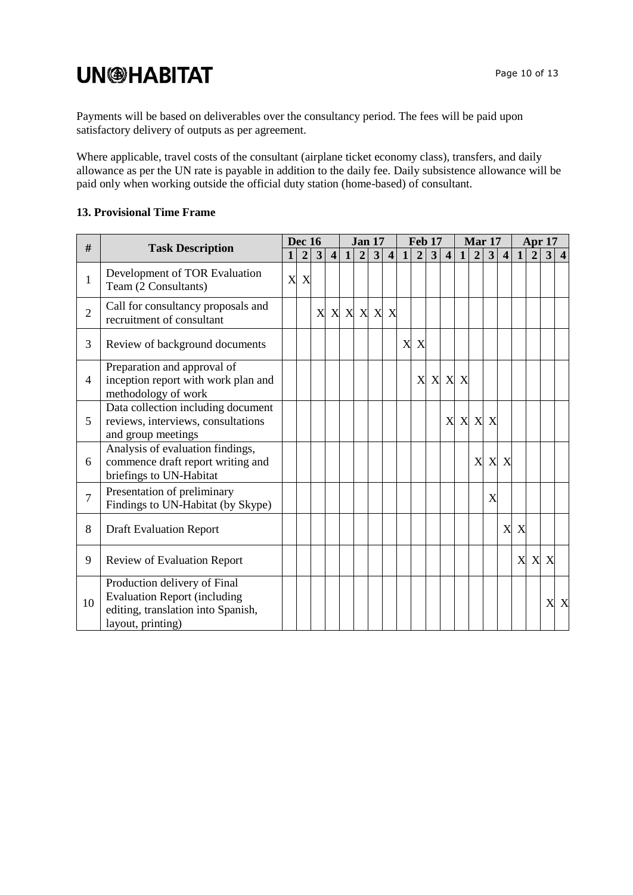Payments will be based on deliverables over the consultancy period. The fees will be paid upon satisfactory delivery of outputs as per agreement.

Where applicable, travel costs of the consultant (airplane ticket economy class), transfers, and daily allowance as per the UN rate is payable in addition to the daily fee. Daily subsistence allowance will be paid only when working outside the official duty station (home-based) of consultant.

#### **13. Provisional Time Frame**

| $\#$           |                                                                                                                                |              | <b>Dec 16</b>  |   |                | <b>Jan 17</b> |                  |   |                         | <b>Feb 17</b> |                           |         |                         | <b>Mar 17</b> |                |                           |                         | Apr 17       |                |     |     |
|----------------|--------------------------------------------------------------------------------------------------------------------------------|--------------|----------------|---|----------------|---------------|------------------|---|-------------------------|---------------|---------------------------|---------|-------------------------|---------------|----------------|---------------------------|-------------------------|--------------|----------------|-----|-----|
|                | <b>Task Description</b>                                                                                                        | $\mathbf{1}$ | $\overline{2}$ | 3 | $\overline{4}$ | $\mathbf{1}$  | $\boldsymbol{2}$ | 3 | $\overline{\mathbf{4}}$ | 1             | $\overline{2}$            | 3       | $\overline{\mathbf{4}}$ | 1             | $\overline{2}$ | 3 <sup>1</sup>            | $\overline{\mathbf{4}}$ | $\mathbf{1}$ | $\overline{2}$ | 3 4 |     |
| $\mathbf{1}$   | Development of TOR Evaluation<br>Team (2 Consultants)                                                                          | X            | X              |   |                |               |                  |   |                         |               |                           |         |                         |               |                |                           |                         |              |                |     |     |
| $\overline{2}$ | Call for consultancy proposals and<br>recruitment of consultant                                                                |              |                | X |                | X X           | X                |   | X X                     |               |                           |         |                         |               |                |                           |                         |              |                |     |     |
| 3              | Review of background documents                                                                                                 |              |                |   |                |               |                  |   |                         | X             | $\boldsymbol{\mathrm{X}}$ |         |                         |               |                |                           |                         |              |                |     |     |
| 4              | Preparation and approval of<br>inception report with work plan and<br>methodology of work                                      |              |                |   |                |               |                  |   |                         |               |                           | X X X X |                         |               |                |                           |                         |              |                |     |     |
| 5              | Data collection including document<br>reviews, interviews, consultations<br>and group meetings                                 |              |                |   |                |               |                  |   |                         |               |                           |         | X                       |               | X X X          |                           |                         |              |                |     |     |
| 6              | Analysis of evaluation findings,<br>commence draft report writing and<br>briefings to UN-Habitat                               |              |                |   |                |               |                  |   |                         |               |                           |         |                         |               | X              | $\boldsymbol{\mathrm{X}}$ | X                       |              |                |     |     |
| $\overline{7}$ | Presentation of preliminary<br>Findings to UN-Habitat (by Skype)                                                               |              |                |   |                |               |                  |   |                         |               |                           |         |                         |               |                | X                         |                         |              |                |     |     |
| 8              | <b>Draft Evaluation Report</b>                                                                                                 |              |                |   |                |               |                  |   |                         |               |                           |         |                         |               |                |                           | X                       | X            |                |     |     |
| 9              | <b>Review of Evaluation Report</b>                                                                                             |              |                |   |                |               |                  |   |                         |               |                           |         |                         |               |                |                           |                         | X            |                | X X |     |
| 10             | Production delivery of Final<br><b>Evaluation Report (including</b><br>editing, translation into Spanish,<br>layout, printing) |              |                |   |                |               |                  |   |                         |               |                           |         |                         |               |                |                           |                         |              |                |     | X X |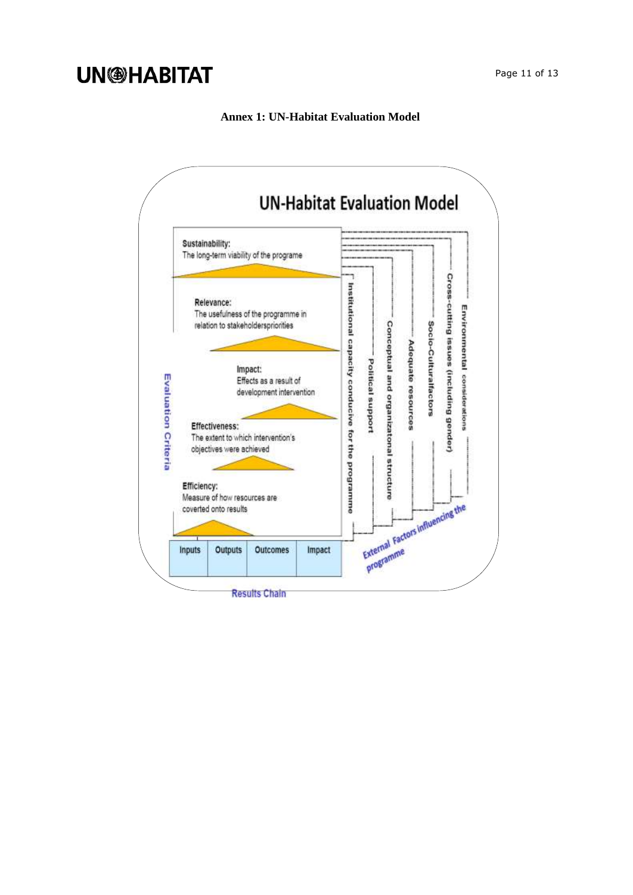Page 11 of 13

#### **Annex 1: UN-Habitat Evaluation Model**

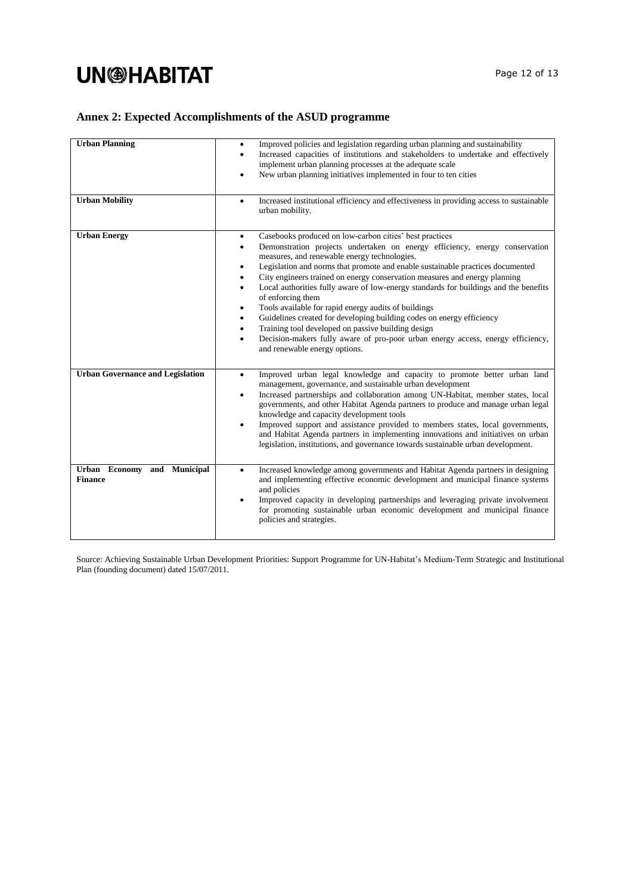### **Annex 2: Expected Accomplishments of the ASUD programme**

| <b>Urban Planning</b><br><b>Urban Mobility</b> | Improved policies and legislation regarding urban planning and sustainability<br>$\bullet$<br>Increased capacities of institutions and stakeholders to undertake and effectively<br>٠<br>implement urban planning processes at the adequate scale<br>New urban planning initiatives implemented in four to ten cities<br>$\bullet$<br>Increased institutional efficiency and effectiveness in providing access to sustainable<br>$\bullet$<br>urban mobility.                                                                                                                                                                                                                                                                                                                                                                                               |
|------------------------------------------------|-------------------------------------------------------------------------------------------------------------------------------------------------------------------------------------------------------------------------------------------------------------------------------------------------------------------------------------------------------------------------------------------------------------------------------------------------------------------------------------------------------------------------------------------------------------------------------------------------------------------------------------------------------------------------------------------------------------------------------------------------------------------------------------------------------------------------------------------------------------|
| <b>Urban Energy</b>                            | Casebooks produced on low-carbon cities' best practices<br>$\bullet$<br>Demonstration projects undertaken on energy efficiency, energy conservation<br>٠<br>measures, and renewable energy technologies.<br>Legislation and norms that promote and enable sustainable practices documented<br>$\bullet$<br>City engineers trained on energy conservation measures and energy planning<br>٠<br>Local authorities fully aware of low-energy standards for buildings and the benefits<br>٠<br>of enforcing them<br>Tools available for rapid energy audits of buildings<br>٠<br>Guidelines created for developing building codes on energy efficiency<br>٠<br>Training tool developed on passive building design<br>$\bullet$<br>Decision-makers fully aware of pro-poor urban energy access, energy efficiency,<br>$\bullet$<br>and renewable energy options. |
| <b>Urban Governance and Legislation</b>        | Improved urban legal knowledge and capacity to promote better urban land<br>$\bullet$<br>management, governance, and sustainable urban development<br>Increased partnerships and collaboration among UN-Habitat, member states, local<br>$\bullet$<br>governments, and other Habitat Agenda partners to produce and manage urban legal<br>knowledge and capacity development tools<br>Improved support and assistance provided to members states, local governments,<br>$\bullet$<br>and Habitat Agenda partners in implementing innovations and initiatives on urban<br>legislation, institutions, and governance towards sustainable urban development.                                                                                                                                                                                                   |
| Urban Economy and Municipal<br><b>Finance</b>  | Increased knowledge among governments and Habitat Agenda partners in designing<br>$\bullet$<br>and implementing effective economic development and municipal finance systems<br>and policies<br>Improved capacity in developing partnerships and leveraging private involvement<br>$\bullet$<br>for promoting sustainable urban economic development and municipal finance<br>policies and strategies.                                                                                                                                                                                                                                                                                                                                                                                                                                                      |

Source: Achieving Sustainable Urban Development Priorities: Support Programme for UN-Habitat's Medium-Term Strategic and Institutional Plan (founding document) dated 15/07/2011.